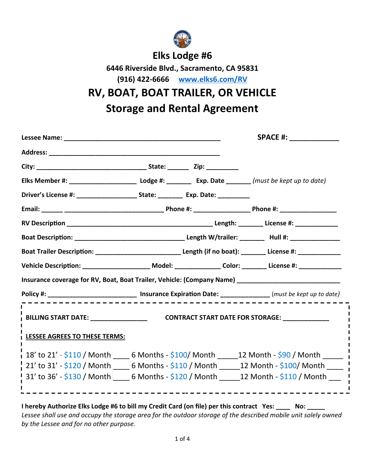

## **Elks Lodge #6**

**6446 Riverside Blvd., Sacramento, CA 95831 (916) 422-6666 www.elks6.com/RV**

**RV, BOAT, BOAT TRAILER, OR VEHICLE**

**Storage and Rental Agreement**

|                               |                                                                                                                   | <b>SPACE #: _______________</b>                                                                                   |
|-------------------------------|-------------------------------------------------------------------------------------------------------------------|-------------------------------------------------------------------------------------------------------------------|
|                               |                                                                                                                   |                                                                                                                   |
|                               |                                                                                                                   |                                                                                                                   |
|                               |                                                                                                                   |                                                                                                                   |
|                               | Driver's License #: ________________________ State: __________ Exp. Date: ________                                |                                                                                                                   |
|                               |                                                                                                                   |                                                                                                                   |
|                               |                                                                                                                   |                                                                                                                   |
|                               |                                                                                                                   |                                                                                                                   |
|                               |                                                                                                                   | Boat Trailer Description: _________________________________Length (if no boat): _________ License #: ____________ |
|                               |                                                                                                                   | Vehicle Description: ________________________ Model: _______________ Color: _________ License #: _____________    |
|                               |                                                                                                                   | Insurance coverage for RV, Boat, Boat Trailer, Vehicle: (Company Name) ____________________________               |
|                               | Policy #: __________________________________ Insurance Expiration Date: ________________(must be kept up to date) |                                                                                                                   |
|                               |                                                                                                                   |                                                                                                                   |
| LESSEE AGREES TO THESE TERMS: |                                                                                                                   |                                                                                                                   |
|                               |                                                                                                                   | $\frac{1}{1}$ 18' to 21' - \$110 / Month _____ 6 Months - \$100/ Month ______12 Month - \$90 / Month ______       |
|                               |                                                                                                                   |                                                                                                                   |
|                               |                                                                                                                   | $\frac{1}{1}$ 21' to 31' - \$120 / Month _____ 6 Months - \$110 / Month ______12 Month - \$100/ Month _____       |

*Lessee shall use and occupy the storage area for the outdoor storage of the described mobile unit solely owned by the Lessee and for no other purpose.*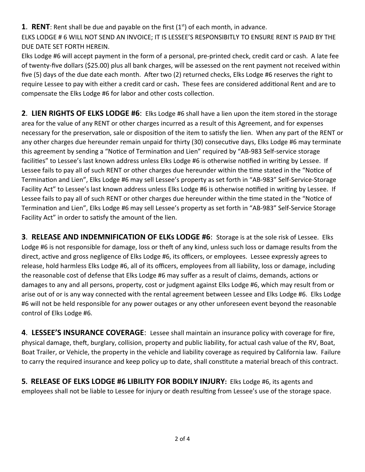**1. RENT**: Rent shall be due and payable on the first  $(1<sup>st</sup>)$  of each month, in advance.

ELKS LODGE # 6 WILL NOT SEND AN INVOICE; IT IS LESSEE'S RESPONSIBITLY TO ENSURE RENT IS PAID BY THE DUE DATE SET FORTH HEREIN.

Elks Lodge #6 will accept payment in the form of a personal, pre-printed check, credit card or cash. A late fee of twenty-five dollars (\$25.00) plus all bank charges, will be assessed on the rent payment not received within five (5) days of the due date each month. After two (2) returned checks, Elks Lodge #6 reserves the right to require Lessee to pay with either a credit card or cash**.** These fees are considered addiƟonal Rent and are to compensate the Elks Lodge #6 for labor and other costs collection.

**2**. **LIEN RIGHTS OF ELKS LODGE #6**: Elks Lodge #6 shall have a lien upon the item stored in the storage area for the value of any RENT or other charges incurred as a result of this Agreement, and for expenses necessary for the preservation, sale or disposition of the item to satisfy the lien. When any part of the RENT or any other charges due hereunder remain unpaid for thirty (30) consecutive days, Elks Lodge #6 may terminate this agreement by sending a "Notice of Termination and Lien" required by "AB-983 Self-service storage facilities" to Lessee's last known address unless Elks Lodge #6 is otherwise notified in writing by Lessee. If Lessee fails to pay all of such RENT or other charges due hereunder within the time stated in the "Notice of Termination and Lien", Elks Lodge #6 may sell Lessee's property as set forth in "AB-983" Self-Service-Storage Facility Act" to Lessee's last known address unless Elks Lodge #6 is otherwise notified in writing by Lessee. If Lessee fails to pay all of such RENT or other charges due hereunder within the time stated in the "Notice of Termination and Lien", Elks Lodge #6 may sell Lessee's property as set forth in "AB-983" Self-Service Storage Facility Act" in order to satisfy the amount of the lien.

**3**. **RELEASE AND INDEMNIFICATION OF ELKs LODGE #6**: Storage is at the sole risk of Lessee. Elks Lodge #6 is not responsible for damage, loss or theft of any kind, unless such loss or damage results from the direct, active and gross negligence of Elks Lodge #6, its officers, or employees. Lessee expressly agrees to release, hold harmless Elks Lodge #6, all of its officers, employees from all liability, loss or damage, including the reasonable cost of defense that Elks Lodge #6 may suffer as a result of claims, demands, actions or damages to any and all persons, property, cost or judgment against Elks Lodge #6, which may result from or arise out of or is any way connected with the rental agreement between Lessee and Elks Lodge #6. Elks Lodge #6 will not be held responsible for any power outages or any other unforeseen event beyond the reasonable control of Elks Lodge #6.

**4**. **LESSEE'S INSURANCE COVERAGE**: Lessee shall maintain an insurance policy with coverage for fire, physical damage, theft, burglary, collision, property and public liability, for actual cash value of the RV, Boat, Boat Trailer, or Vehicle, the property in the vehicle and liability coverage as required by California law. Failure to carry the required insurance and keep policy up to date, shall constitute a material breach of this contract.

**5. RELEASE OF ELKS LODGE #6 LIBILITY FOR BODILY INJURY:** Elks Lodge #6, its agents and employees shall not be liable to Lessee for injury or death resulting from Lessee's use of the storage space.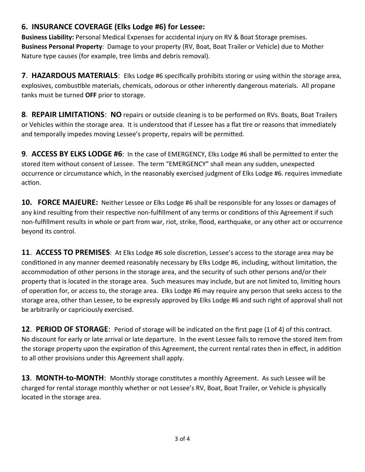## **6. INSURANCE COVERAGE (Elks Lodge #6) for Lessee:**

**Business Liability:** Personal Medical Expenses for accidental injury on RV & Boat Storage premises. **Business Personal Property**: Damage to your property (RV, Boat, Boat Trailer or Vehicle) due to Mother Nature type causes (for example, tree limbs and debris removal).

**7**. **HAZARDOUS MATERIALS**: Elks Lodge #6 specifically prohibits storing or using within the storage area, explosives, combustible materials, chemicals, odorous or other inherently dangerous materials. All propane tanks must be turned **OFF** prior to storage.

**8**. **REPAIR LIMITATIONS**: **NO** repairs or outside cleaning is to be performed on RVs. Boats, Boat Trailers or Vehicles within the storage area. It is understood that if Lessee has a flat tire or reasons that immediately and temporally impedes moving Lessee's property, repairs will be permitted.

**9. ACCESS BY ELKS LODGE #6:** In the case of EMERGENCY, Elks Lodge #6 shall be permitted to enter the stored item without consent of Lessee. The term "EMERGENCY" shall mean any sudden, unexpected occurrence or circumstance which, in the reasonably exercised judgment of Elks Lodge #6. requires immediate action.

**10. FORCE MAJEURE:** Neither Lessee or Elks Lodge #6 shall be responsible for any losses or damages of any kind resulting from their respective non-fulfillment of any terms or conditions of this Agreement if such non-fulfillment results in whole or part from war, riot, strike, flood, earthquake, or any other act or occurrence beyond its control.

**11. ACCESS TO PREMISES:** At Elks Lodge #6 sole discretion, Lessee's access to the storage area may be conditioned in any manner deemed reasonably necessary by Elks Lodge #6, including, without limitation, the accommodation of other persons in the storage area, and the security of such other persons and/or their property that is located in the storage area. Such measures may include, but are not limited to, limiting hours of operaƟon for, or access to, the storage area. Elks Lodge #6 may require any person that seeks access to the storage area, other than Lessee, to be expressly approved by Elks Lodge #6 and such right of approval shall not be arbitrarily or capriciously exercised.

**12**. **PERIOD OF STORAGE**: Period of storage will be indicated on the first page (1of 4) of this contract. No discount for early or late arrival or late departure. In the event Lessee fails to remove the stored item from the storage property upon the expiration of this Agreement, the current rental rates then in effect, in addition to all other provisions under this Agreement shall apply.

**13. MONTH-to-MONTH:** Monthly storage constitutes a monthly Agreement. As such Lessee will be charged for rental storage monthly whether or not Lessee's RV, Boat, Boat Trailer, or Vehicle is physically located in the storage area.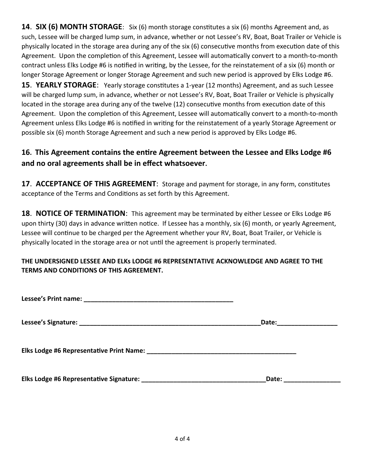**14**. **SIX (6) MONTH STORAGE**: Six (6) month storage consƟtutes a six (6) months Agreement and, as such, Lessee will be charged lump sum, in advance, whether or not Lessee's RV, Boat, Boat Trailer or Vehicle is physically located in the storage area during any of the six (6) consecutive months from execution date of this Agreement. Upon the completion of this Agreement, Lessee will automatically convert to a month-to-month contract unless Elks Lodge #6 is notified in writing, by the Lessee, for the reinstatement of a six (6) month or longer Storage Agreement or longer Storage Agreement and such new period is approved by Elks Lodge #6.

**15. YEARLY STORAGE:** Yearly storage constitutes a 1-year (12 months) Agreement, and as such Lessee will be charged lump sum, in advance, whether or not Lessee's RV, Boat, Boat Trailer or Vehicle is physically located in the storage area during any of the twelve (12) consecutive months from execution date of this Agreement. Upon the completion of this Agreement, Lessee will automatically convert to a month-to-month Agreement unless Elks Lodge #6 is notified in writing for the reinstatement of a yearly Storage Agreement or possible six (6) month Storage Agreement and such a new period is approved by Elks Lodge #6.

## **16. This Agreement contains the entire Agreement between the Lessee and Elks Lodge #6 and no oral agreements shall be in effect whatsoever.**

**17. ACCEPTANCE OF THIS AGREEMENT:** Storage and payment for storage, in any form, constitutes acceptance of the Terms and Conditions as set forth by this Agreement.

**18**. **NOTICE OF TERMINATION**: This agreement may be terminated by either Lessee or Elks Lodge #6 upon thirty (30) days in advance written notice. If Lessee has a monthly, six (6) month, or yearly Agreement, Lessee will continue to be charged per the Agreement whether your RV, Boat, Boat Trailer, or Vehicle is physically located in the storage area or not until the agreement is properly terminated.

## **THE UNDERSIGNED LESSEE AND ELKs LODGE #6 REPRESENTATIVE ACKNOWLEDGE AND AGREE TO THE TERMS AND CONDITIONS OF THIS AGREEMENT.**

|                                         | Date: ___________________ |
|-----------------------------------------|---------------------------|
|                                         |                           |
| Elks Lodge #6 Representative Signature: | Date:                     |